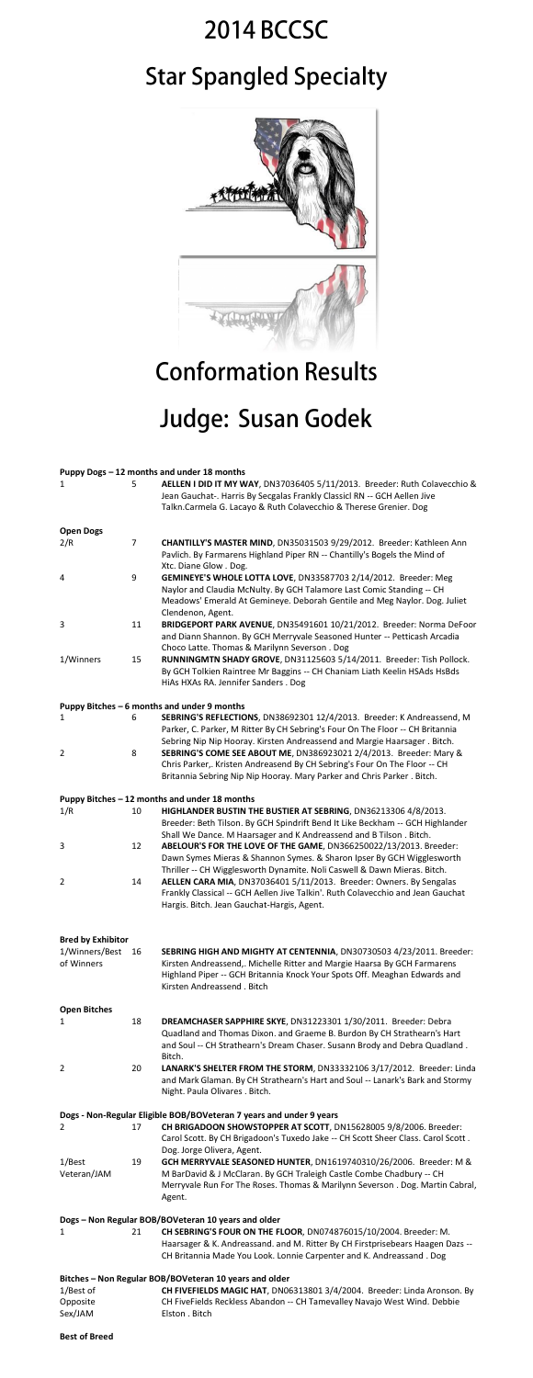## **2014 BCCSC Star Spangled Specialty**



## **Conformation Results**

## Judge: Susan Godek

|                                             |                | Puppy Dogs - 12 months and under 18 months                                                                                                            |  |  |  |
|---------------------------------------------|----------------|-------------------------------------------------------------------------------------------------------------------------------------------------------|--|--|--|
| 1                                           | 5              | AELLEN I DID IT MY WAY, DN37036405 5/11/2013. Breeder: Ruth Colavecchio &<br>Jean Gauchat-. Harris By Secgalas Frankly Classicl RN -- GCH Aellen Jive |  |  |  |
|                                             |                | Talkn.Carmela G. Lacayo & Ruth Colavecchio & Therese Grenier. Dog                                                                                     |  |  |  |
| <b>Open Dogs</b>                            |                |                                                                                                                                                       |  |  |  |
| 2/R                                         | $\overline{7}$ | CHANTILLY'S MASTER MIND, DN35031503 9/29/2012. Breeder: Kathleen Ann                                                                                  |  |  |  |
|                                             |                | Pavlich. By Farmarens Highland Piper RN -- Chantilly's Bogels the Mind of<br>Xtc. Diane Glow . Dog.                                                   |  |  |  |
| 4                                           | 9              | GEMINEYE'S WHOLE LOTTA LOVE, DN33587703 2/14/2012. Breeder: Meg                                                                                       |  |  |  |
|                                             |                | Naylor and Claudia McNulty. By GCH Talamore Last Comic Standing -- CH                                                                                 |  |  |  |
|                                             |                | Meadows' Emerald At Gemineye. Deborah Gentile and Meg Naylor. Dog. Juliet<br>Clendenon, Agent.                                                        |  |  |  |
| 3                                           | 11             | BRIDGEPORT PARK AVENUE, DN35491601 10/21/2012. Breeder: Norma DeFoor                                                                                  |  |  |  |
|                                             |                | and Diann Shannon. By GCH Merryvale Seasoned Hunter -- Petticash Arcadia                                                                              |  |  |  |
|                                             |                | Choco Latte. Thomas & Marilynn Severson. Dog                                                                                                          |  |  |  |
| 1/Winners                                   | 15             | RUNNINGMTN SHADY GROVE, DN31125603 5/14/2011. Breeder: Tish Pollock.                                                                                  |  |  |  |
|                                             |                | By GCH Tolkien Raintree Mr Baggins -- CH Chaniam Liath Keelin HSAds HsBds                                                                             |  |  |  |
|                                             |                | HiAs HXAs RA. Jennifer Sanders . Dog                                                                                                                  |  |  |  |
| Puppy Bitches - 6 months and under 9 months |                |                                                                                                                                                       |  |  |  |
| 1                                           | 6              | SEBRING'S REFLECTIONS, DN38692301 12/4/2013. Breeder: K Andreassend, M                                                                                |  |  |  |
|                                             |                | Parker, C. Parker, M Ritter By CH Sebring's Four On The Floor -- CH Britannia                                                                         |  |  |  |
|                                             |                | Sebring Nip Nip Hooray. Kirsten Andreassend and Margie Haarsager. Bitch.                                                                              |  |  |  |
| $\overline{2}$                              | 8              | SEBRING'S COME SEE ABOUT ME, DN386923021 2/4/2013. Breeder: Mary &                                                                                    |  |  |  |
|                                             |                | Chris Parker,. Kristen Andreasend By CH Sebring's Four On The Floor -- CH                                                                             |  |  |  |
|                                             |                | Britannia Sebring Nip Nip Hooray. Mary Parker and Chris Parker. Bitch.                                                                                |  |  |  |

|                                                                                                                                    |    | Puppy Bitches - 12 months and under 18 months                                                                                                                                                                                                                |  |  |  |
|------------------------------------------------------------------------------------------------------------------------------------|----|--------------------------------------------------------------------------------------------------------------------------------------------------------------------------------------------------------------------------------------------------------------|--|--|--|
| 1/R                                                                                                                                | 10 | HIGHLANDER BUSTIN THE BUSTIER AT SEBRING, DN36213306 4/8/2013.<br>Breeder: Beth Tilson. By GCH Spindrift Bend It Like Beckham -- GCH Highlander<br>Shall We Dance. M Haarsager and K Andreassend and B Tilson. Bitch.                                        |  |  |  |
| 3                                                                                                                                  | 12 | ABELOUR'S FOR THE LOVE OF THE GAME, DN366250022/13/2013. Breeder:<br>Dawn Symes Mieras & Shannon Symes. & Sharon Ipser By GCH Wigglesworth<br>Thriller -- CH Wigglesworth Dynamite. Noli Caswell & Dawn Mieras. Bitch.                                       |  |  |  |
| 2                                                                                                                                  | 14 | AELLEN CARA MIA, DN37036401 5/11/2013. Breeder: Owners. By Sengalas<br>Frankly Classical -- GCH Aellen Jive Talkin'. Ruth Colavecchio and Jean Gauchat<br>Hargis. Bitch. Jean Gauchat-Hargis, Agent.                                                         |  |  |  |
| <b>Bred by Exhibitor</b>                                                                                                           |    |                                                                                                                                                                                                                                                              |  |  |  |
| 1/Winners/Best<br>of Winners                                                                                                       | 16 | SEBRING HIGH AND MIGHTY AT CENTENNIA, DN30730503 4/23/2011. Breeder:<br>Kirsten Andreassend,. Michelle Ritter and Margie Haarsa By GCH Farmarens<br>Highland Piper -- GCH Britannia Knock Your Spots Off. Meaghan Edwards and<br>Kirsten Andreassend . Bitch |  |  |  |
| <b>Open Bitches</b>                                                                                                                |    |                                                                                                                                                                                                                                                              |  |  |  |
| 1                                                                                                                                  | 18 | DREAMCHASER SAPPHIRE SKYE, DN31223301 1/30/2011. Breeder: Debra<br>Quadland and Thomas Dixon. and Graeme B. Burdon By CH Strathearn's Hart<br>and Soul -- CH Strathearn's Dream Chaser. Susann Brody and Debra Quadland.<br>Bitch.                           |  |  |  |
| $\overline{2}$                                                                                                                     | 20 | LANARK'S SHELTER FROM THE STORM, DN33332106 3/17/2012. Breeder: Linda<br>and Mark Glaman. By CH Strathearn's Hart and Soul -- Lanark's Bark and Stormy<br>Night. Paula Olivares . Bitch.                                                                     |  |  |  |
|                                                                                                                                    |    | Dogs - Non-Regular Eligible BOB/BOVeteran 7 years and under 9 years                                                                                                                                                                                          |  |  |  |
| 2                                                                                                                                  | 17 | CH BRIGADOON SHOWSTOPPER AT SCOTT, DN15628005 9/8/2006. Breeder:<br>Carol Scott. By CH Brigadoon's Tuxedo Jake -- CH Scott Sheer Class. Carol Scott.<br>Dog. Jorge Olivera, Agent.                                                                           |  |  |  |
| $1/$ Best<br>Veteran/JAM                                                                                                           | 19 | GCH MERRYVALE SEASONED HUNTER, DN1619740310/26/2006. Breeder: M &<br>M BarDavid & J McClaran. By GCH Traleigh Castle Combe Chadbury -- CH<br>Merryvale Run For The Roses. Thomas & Marilynn Severson. Dog. Martin Cabral,                                    |  |  |  |
|                                                                                                                                    |    | Agent.                                                                                                                                                                                                                                                       |  |  |  |
| Dogs - Non Regular BOB/BOVeteran 10 years and older<br>CH SEBRING'S FOUR ON THE FLOOR, DN074876015/10/2004. Breeder: M.<br>21<br>1 |    |                                                                                                                                                                                                                                                              |  |  |  |
|                                                                                                                                    |    | Haarsager & K. Andreassand. and M. Ritter By CH Firstprisebears Haagen Dazs --<br>CH Britannia Made You Look. Lonnie Carpenter and K. Andreassand. Dog                                                                                                       |  |  |  |
| Bitches - Non Regular BOB/BOVeteran 10 years and older                                                                             |    |                                                                                                                                                                                                                                                              |  |  |  |
| 1/Best of<br>Opposite<br>Sex/JAM                                                                                                   |    | CH FIVEFIELDS MAGIC HAT, DN06313801 3/4/2004. Breeder: Linda Aronson. By<br>CH FiveFields Reckless Abandon -- CH Tamevalley Navajo West Wind. Debbie<br>Elston . Bitch                                                                                       |  |  |  |
|                                                                                                                                    |    |                                                                                                                                                                                                                                                              |  |  |  |

**Best of Breed**